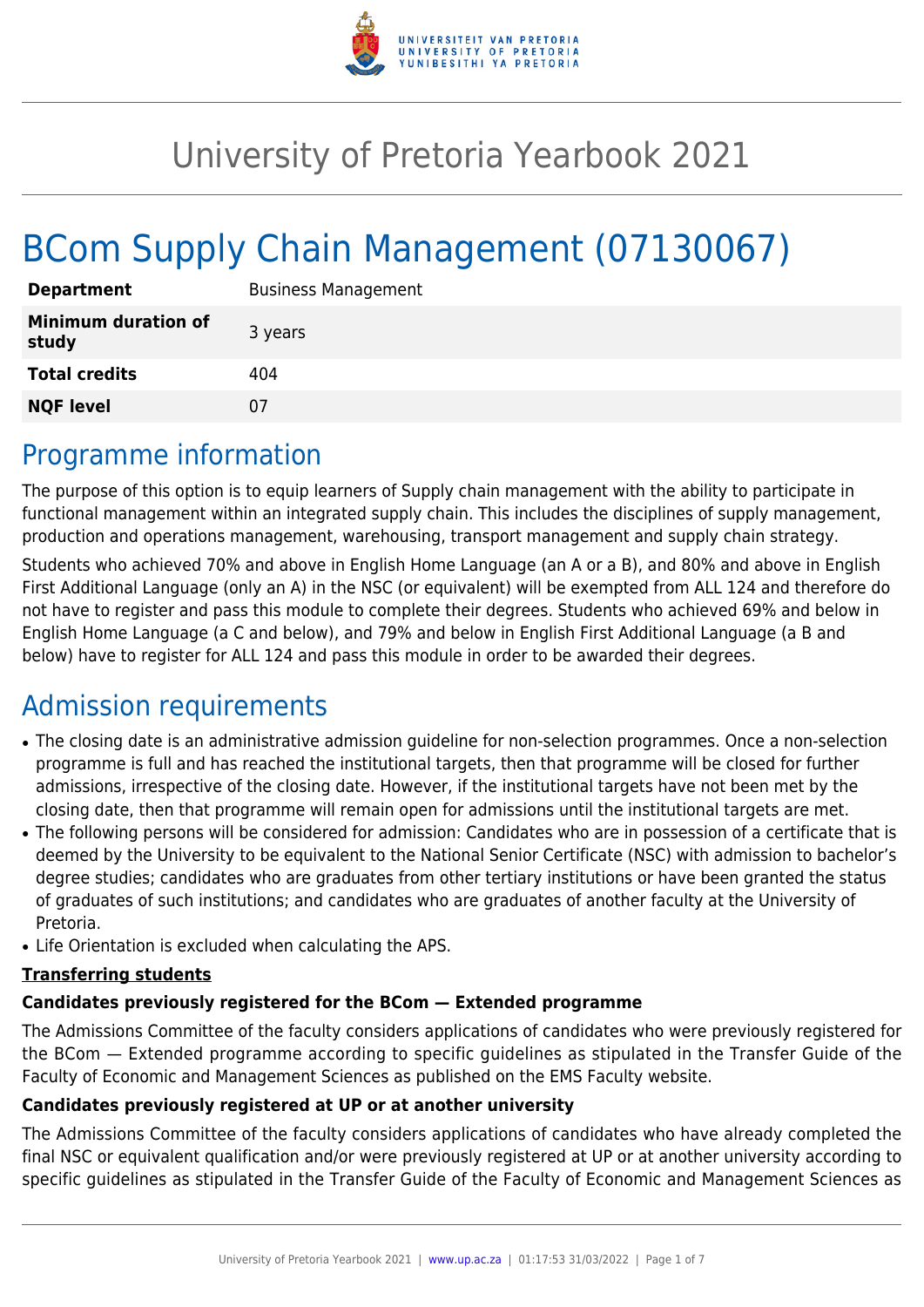

# University of Pretoria Yearbook 2021

# BCom Supply Chain Management (07130067)

| <b>Department</b>                   | <b>Business Management</b> |
|-------------------------------------|----------------------------|
| <b>Minimum duration of</b><br>study | 3 years                    |
| <b>Total credits</b>                | 404                        |
| <b>NQF level</b>                    | 07                         |

### Programme information

The purpose of this option is to equip learners of Supply chain management with the ability to participate in functional management within an integrated supply chain. This includes the disciplines of supply management, production and operations management, warehousing, transport management and supply chain strategy.

Students who achieved 70% and above in English Home Language (an A or a B), and 80% and above in English First Additional Language (only an A) in the NSC (or equivalent) will be exempted from ALL 124 and therefore do not have to register and pass this module to complete their degrees. Students who achieved 69% and below in English Home Language (a C and below), and 79% and below in English First Additional Language (a B and below) have to register for ALL 124 and pass this module in order to be awarded their degrees.

# Admission requirements

- The closing date is an administrative admission guideline for non-selection programmes. Once a non-selection programme is full and has reached the institutional targets, then that programme will be closed for further admissions, irrespective of the closing date. However, if the institutional targets have not been met by the closing date, then that programme will remain open for admissions until the institutional targets are met.
- The following persons will be considered for admission: Candidates who are in possession of a certificate that is deemed by the University to be equivalent to the National Senior Certificate (NSC) with admission to bachelor's degree studies; candidates who are graduates from other tertiary institutions or have been granted the status of graduates of such institutions; and candidates who are graduates of another faculty at the University of Pretoria.
- Life Orientation is excluded when calculating the APS.

### **Transferring students**

### **Candidates previously registered for the BCom — Extended programme**

The Admissions Committee of the faculty considers applications of candidates who were previously registered for the BCom — Extended programme according to specific guidelines as stipulated in the Transfer Guide of the Faculty of Economic and Management Sciences as published on the EMS Faculty website.

#### **Candidates previously registered at UP or at another university**

The Admissions Committee of the faculty considers applications of candidates who have already completed the final NSC or equivalent qualification and/or were previously registered at UP or at another university according to specific guidelines as stipulated in the Transfer Guide of the Faculty of Economic and Management Sciences as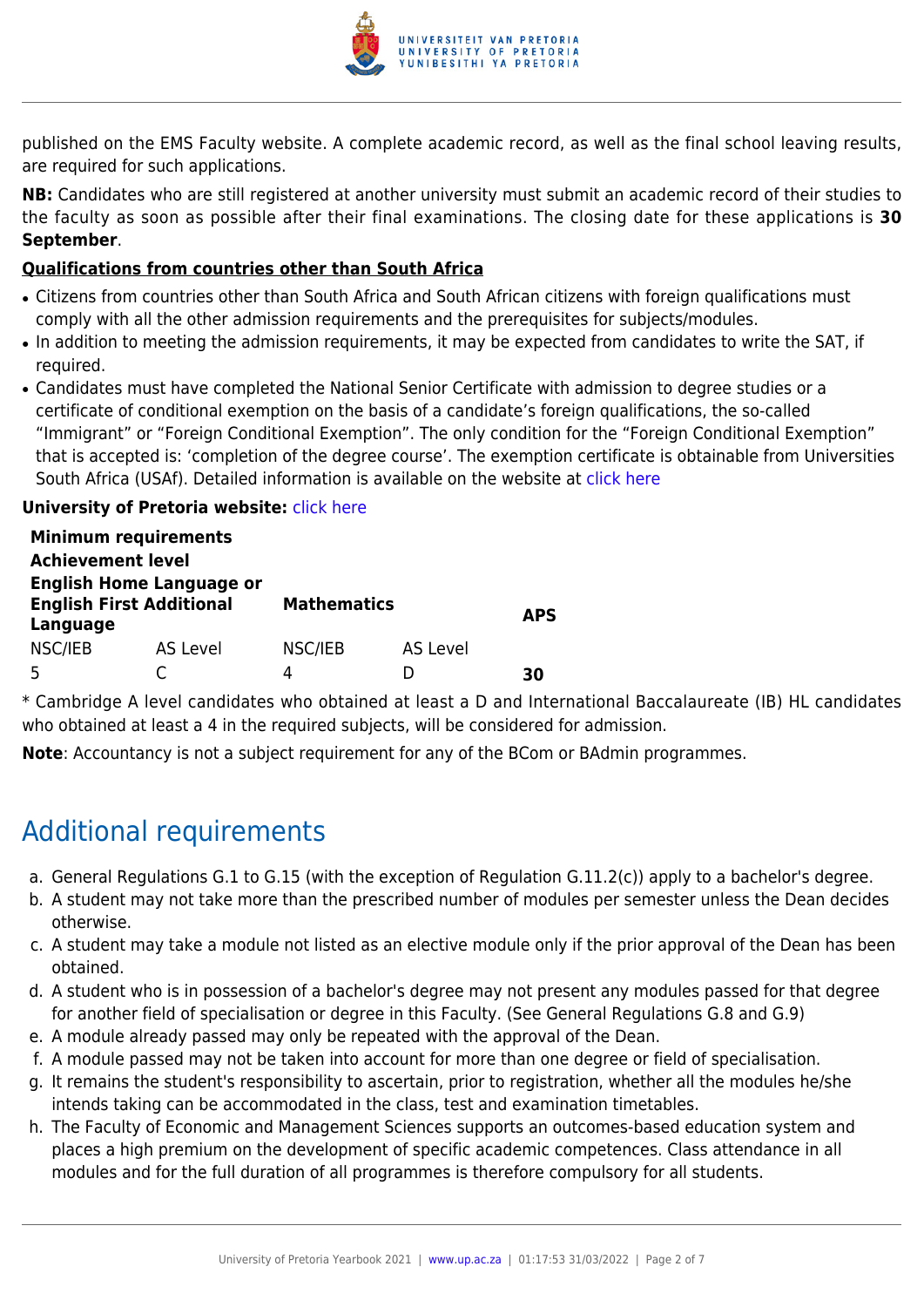

published on the EMS Faculty website. A complete academic record, as well as the final school leaving results, are required for such applications.

**NB:** Candidates who are still registered at another university must submit an academic record of their studies to the faculty as soon as possible after their final examinations. The closing date for these applications is **30 September**.

#### **Qualifications from countries other than South Africa**

- Citizens from countries other than South Africa and South African citizens with foreign qualifications must comply with all the other admission requirements and the prerequisites for subjects/modules.
- In addition to meeting the admission requirements, it may be expected from candidates to write the SAT, if required.
- Candidates must have completed the National Senior Certificate with admission to degree studies or a certificate of conditional exemption on the basis of a candidate's foreign qualifications, the so-called "Immigrant" or "Foreign Conditional Exemption". The only condition for the "Foreign Conditional Exemption" that is accepted is: 'completion of the degree course'. The exemption certificate is obtainable from Universities South Africa (USAf). Detailed information is available on the website at [click here](http://mb.usaf.ac.za)

#### **University of Pretoria website: [click here](http://www.up.ac.za/ems)**

|                                                                                | <b>Minimum requirements</b> |                    |          |            |
|--------------------------------------------------------------------------------|-----------------------------|--------------------|----------|------------|
| <b>Achievement level</b>                                                       |                             |                    |          |            |
| <b>English Home Language or</b><br><b>English First Additional</b><br>Language |                             | <b>Mathematics</b> |          | <b>APS</b> |
| NSC/IEB                                                                        | AS Level                    | NSC/IEB            | AS Level |            |
|                                                                                |                             | 4                  |          | RЛ         |

\* Cambridge A level candidates who obtained at least a D and International Baccalaureate (IB) HL candidates who obtained at least a 4 in the required subjects, will be considered for admission.

**Note**: Accountancy is not a subject requirement for any of the BCom or BAdmin programmes.

# Additional requirements

- a. General Regulations G.1 to G.15 (with the exception of Regulation G.11.2(c)) apply to a bachelor's degree.
- b. A student may not take more than the prescribed number of modules per semester unless the Dean decides otherwise.
- c. A student may take a module not listed as an elective module only if the prior approval of the Dean has been obtained.
- d. A student who is in possession of a bachelor's degree may not present any modules passed for that degree for another field of specialisation or degree in this Faculty. (See General Regulations G.8 and G.9)
- e. A module already passed may only be repeated with the approval of the Dean.
- f. A module passed may not be taken into account for more than one degree or field of specialisation.
- g. It remains the student's responsibility to ascertain, prior to registration, whether all the modules he/she intends taking can be accommodated in the class, test and examination timetables.
- h. The Faculty of Economic and Management Sciences supports an outcomes-based education system and places a high premium on the development of specific academic competences. Class attendance in all modules and for the full duration of all programmes is therefore compulsory for all students.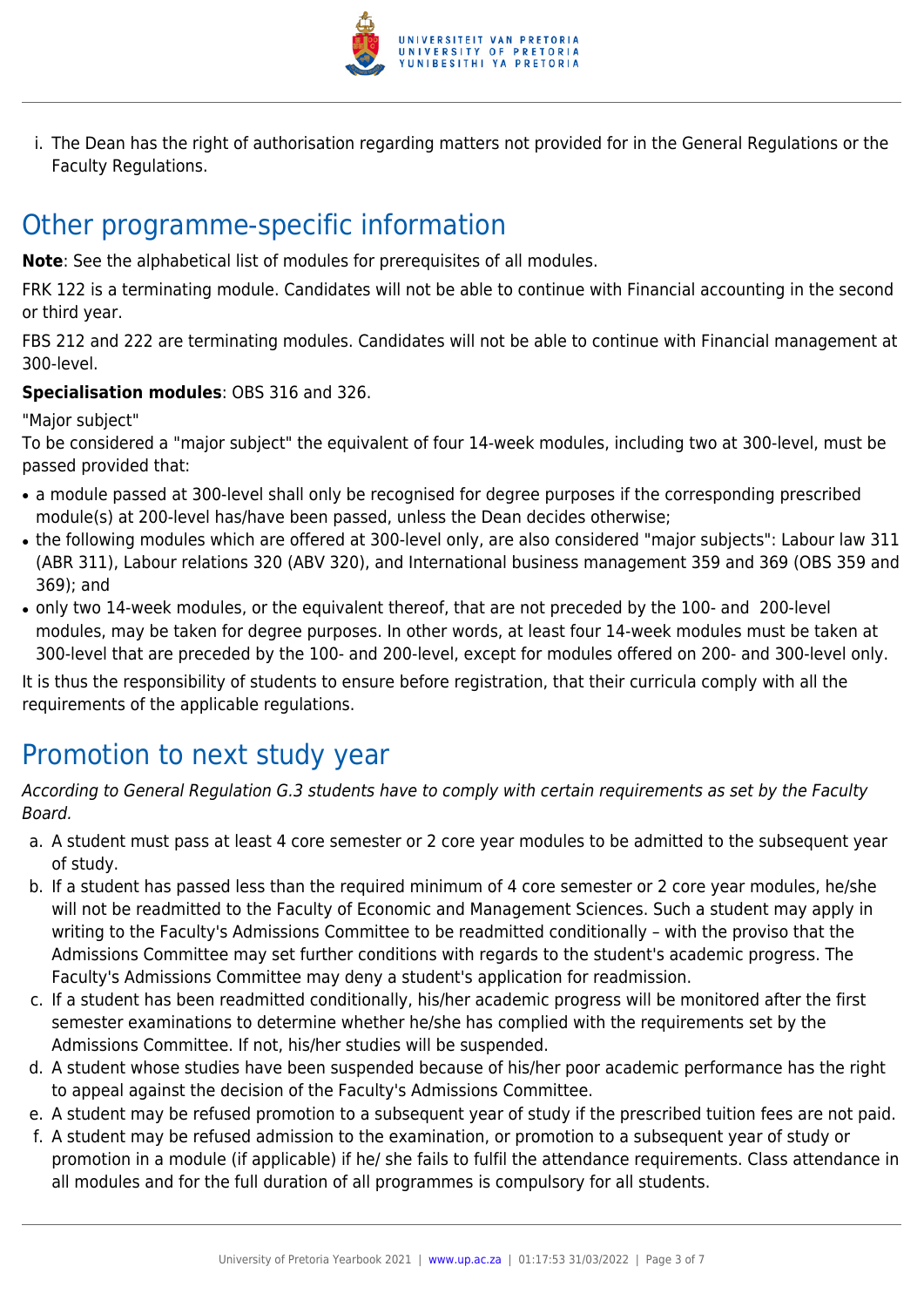

i. The Dean has the right of authorisation regarding matters not provided for in the General Regulations or the Faculty Regulations.

### Other programme-specific information

**Note**: See the alphabetical list of modules for prerequisites of all modules.

FRK 122 is a terminating module. Candidates will not be able to continue with Financial accounting in the second or third year.

FBS 212 and 222 are terminating modules. Candidates will not be able to continue with Financial management at 300-level.

### **Specialisation modules**: OBS 316 and 326.

"Major subject"

To be considered a "major subject" the equivalent of four 14-week modules, including two at 300-level, must be passed provided that:

- a module passed at 300-level shall only be recognised for degree purposes if the corresponding prescribed module(s) at 200-level has/have been passed, unless the Dean decides otherwise;
- the following modules which are offered at 300-level only, are also considered "major subjects": Labour law 311 (ABR 311), Labour relations 320 (ABV 320), and International business management 359 and 369 (OBS 359 and 369); and
- only two 14-week modules, or the equivalent thereof, that are not preceded by the 100- and 200-level modules, may be taken for degree purposes. In other words, at least four 14-week modules must be taken at 300-level that are preceded by the 100- and 200-level, except for modules offered on 200- and 300-level only.

It is thus the responsibility of students to ensure before registration, that their curricula comply with all the requirements of the applicable regulations.

# Promotion to next study year

According to General Regulation G.3 students have to comply with certain requirements as set by the Faculty Board.

- a. A student must pass at least 4 core semester or 2 core year modules to be admitted to the subsequent year of study.
- b. If a student has passed less than the required minimum of 4 core semester or 2 core year modules, he/she will not be readmitted to the Faculty of Economic and Management Sciences. Such a student may apply in writing to the Faculty's Admissions Committee to be readmitted conditionally – with the proviso that the Admissions Committee may set further conditions with regards to the student's academic progress. The Faculty's Admissions Committee may deny a student's application for readmission.
- c. If a student has been readmitted conditionally, his/her academic progress will be monitored after the first semester examinations to determine whether he/she has complied with the requirements set by the Admissions Committee. If not, his/her studies will be suspended.
- d. A student whose studies have been suspended because of his/her poor academic performance has the right to appeal against the decision of the Faculty's Admissions Committee.
- e. A student may be refused promotion to a subsequent year of study if the prescribed tuition fees are not paid.
- f. A student may be refused admission to the examination, or promotion to a subsequent year of study or promotion in a module (if applicable) if he/ she fails to fulfil the attendance requirements. Class attendance in all modules and for the full duration of all programmes is compulsory for all students.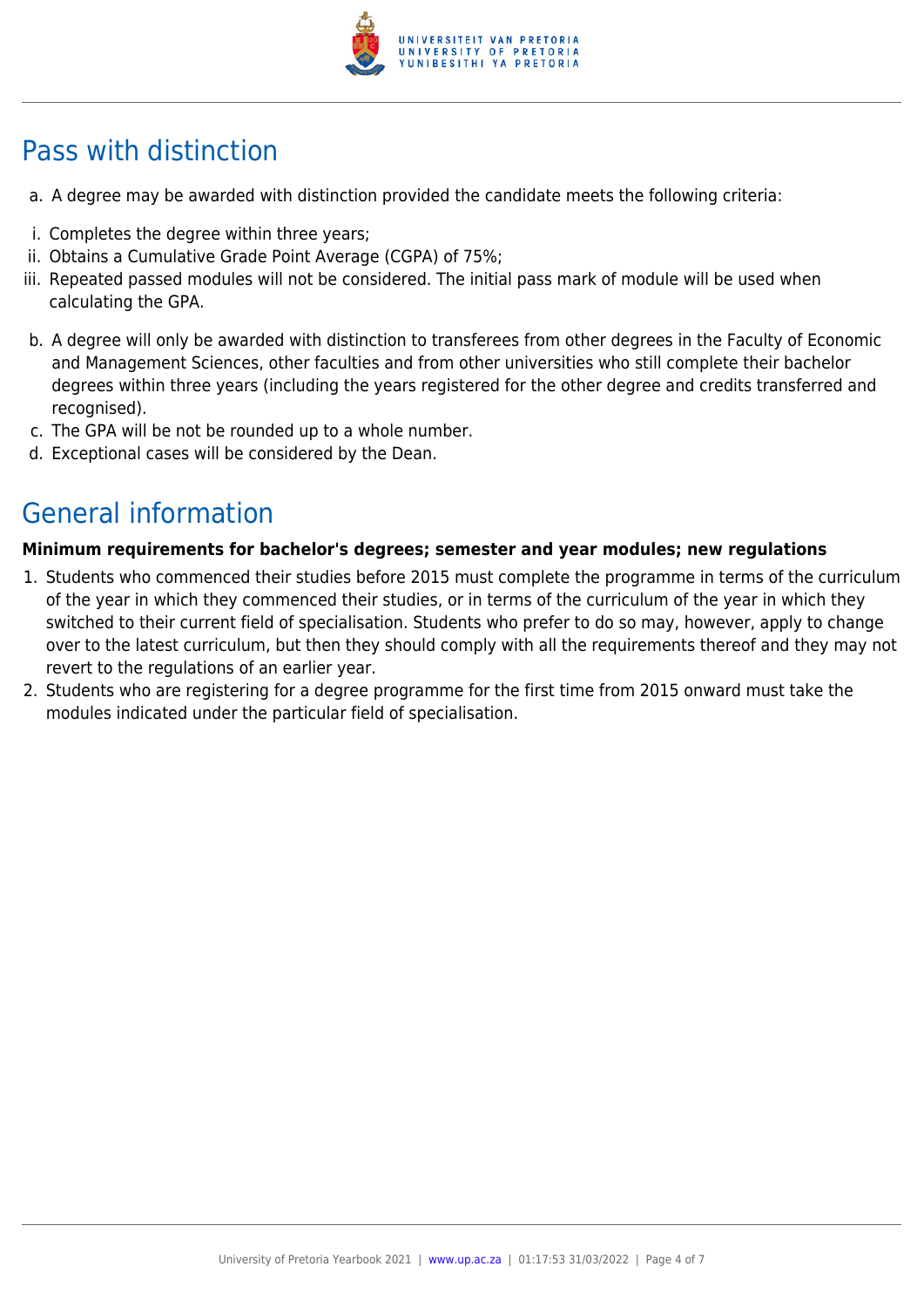

# Pass with distinction

- a. A degree may be awarded with distinction provided the candidate meets the following criteria:
- i. Completes the degree within three years;
- ii. Obtains a Cumulative Grade Point Average (CGPA) of 75%;
- iii. Repeated passed modules will not be considered. The initial pass mark of module will be used when calculating the GPA.
- b. A degree will only be awarded with distinction to transferees from other degrees in the Faculty of Economic and Management Sciences, other faculties and from other universities who still complete their bachelor degrees within three years (including the years registered for the other degree and credits transferred and recognised).
- c. The GPA will be not be rounded up to a whole number.
- d. Exceptional cases will be considered by the Dean.

# General information

### **Minimum requirements for bachelor's degrees; semester and year modules; new regulations**

- 1. Students who commenced their studies before 2015 must complete the programme in terms of the curriculum of the year in which they commenced their studies, or in terms of the curriculum of the year in which they switched to their current field of specialisation. Students who prefer to do so may, however, apply to change over to the latest curriculum, but then they should comply with all the requirements thereof and they may not revert to the regulations of an earlier year.
- 2. Students who are registering for a degree programme for the first time from 2015 onward must take the modules indicated under the particular field of specialisation.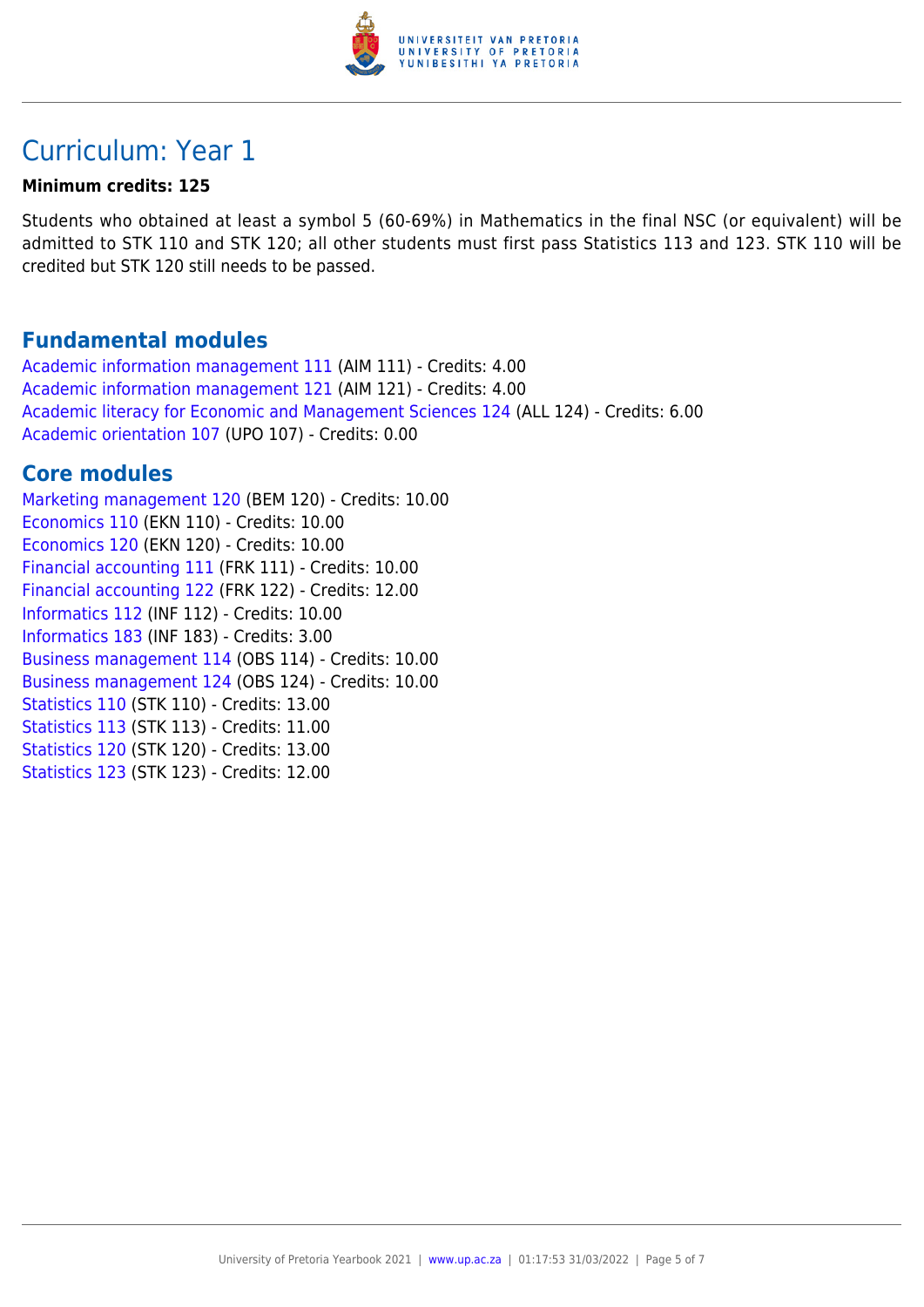

### Curriculum: Year 1

#### **Minimum credits: 125**

Students who obtained at least a symbol 5 (60-69%) in Mathematics in the final NSC (or equivalent) will be admitted to STK 110 and STK 120; all other students must first pass Statistics 113 and 123. STK 110 will be credited but STK 120 still needs to be passed.

### **Fundamental modules**

[Academic information management 111](https://www.up.ac.za/yearbooks/2021/modules/view/AIM 111) (AIM 111) - Credits: 4.00 [Academic information management 121](https://www.up.ac.za/yearbooks/2021/modules/view/AIM 121) (AIM 121) - Credits: 4.00 [Academic literacy for Economic and Management Sciences 124](https://www.up.ac.za/yearbooks/2021/modules/view/ALL 124) (ALL 124) - Credits: 6.00 [Academic orientation 107](https://www.up.ac.za/yearbooks/2021/modules/view/UPO 107) (UPO 107) - Credits: 0.00

### **Core modules**

[Marketing management 120](https://www.up.ac.za/yearbooks/2021/modules/view/BEM 120) (BEM 120) - Credits: 10.00 [Economics 110](https://www.up.ac.za/yearbooks/2021/modules/view/EKN 110) (EKN 110) - Credits: 10.00 [Economics 120](https://www.up.ac.za/yearbooks/2021/modules/view/EKN 120) (EKN 120) - Credits: 10.00 [Financial accounting 111](https://www.up.ac.za/yearbooks/2021/modules/view/FRK 111) (FRK 111) - Credits: 10.00 [Financial accounting 122](https://www.up.ac.za/yearbooks/2021/modules/view/FRK 122) (FRK 122) - Credits: 12.00 [Informatics 112](https://www.up.ac.za/yearbooks/2021/modules/view/INF 112) (INF 112) - Credits: 10.00 [Informatics 183](https://www.up.ac.za/yearbooks/2021/modules/view/INF 183) (INF 183) - Credits: 3.00 [Business management 114](https://www.up.ac.za/yearbooks/2021/modules/view/OBS 114) (OBS 114) - Credits: 10.00 [Business management 124](https://www.up.ac.za/yearbooks/2021/modules/view/OBS 124) (OBS 124) - Credits: 10.00 [Statistics 110](https://www.up.ac.za/yearbooks/2021/modules/view/STK 110) (STK 110) - Credits: 13.00 [Statistics 113](https://www.up.ac.za/yearbooks/2021/modules/view/STK 113) (STK 113) - Credits: 11.00 [Statistics 120](https://www.up.ac.za/yearbooks/2021/modules/view/STK 120) (STK 120) - Credits: 13.00 [Statistics 123](https://www.up.ac.za/yearbooks/2021/modules/view/STK 123) (STK 123) - Credits: 12.00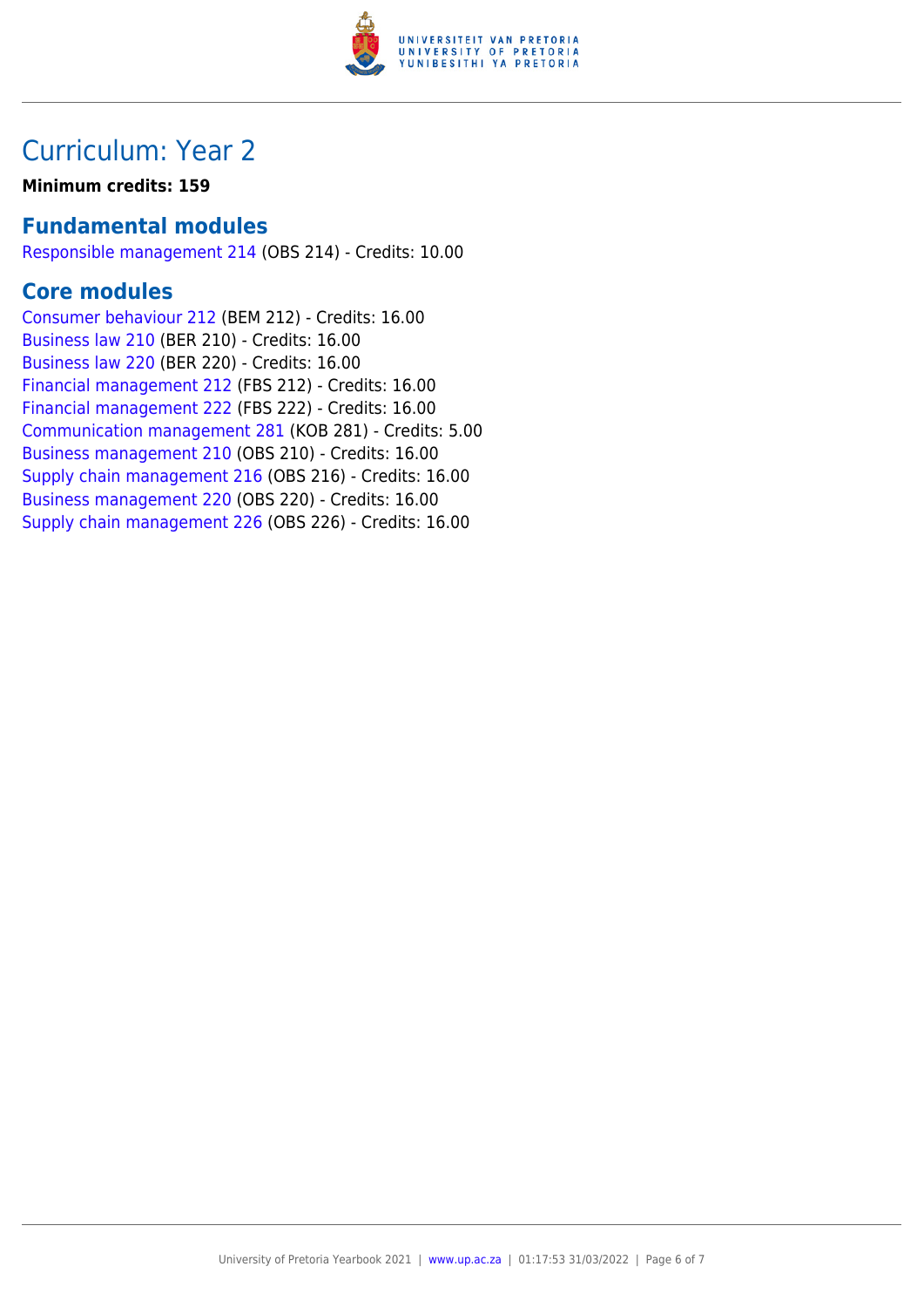

### Curriculum: Year 2

**Minimum credits: 159**

### **Fundamental modules**

[Responsible management 214](https://www.up.ac.za/yearbooks/2021/modules/view/OBS 214) (OBS 214) - Credits: 10.00

### **Core modules**

[Consumer behaviour 212](https://www.up.ac.za/yearbooks/2021/modules/view/BEM 212) (BEM 212) - Credits: 16.00 [Business law 210](https://www.up.ac.za/yearbooks/2021/modules/view/BER 210) (BER 210) - Credits: 16.00 [Business law 220](https://www.up.ac.za/yearbooks/2021/modules/view/BER 220) (BER 220) - Credits: 16.00 [Financial management 212](https://www.up.ac.za/yearbooks/2021/modules/view/FBS 212) (FBS 212) - Credits: 16.00 [Financial management 222](https://www.up.ac.za/yearbooks/2021/modules/view/FBS 222) (FBS 222) - Credits: 16.00 [Communication management 281](https://www.up.ac.za/yearbooks/2021/modules/view/KOB 281) (KOB 281) - Credits: 5.00 [Business management 210](https://www.up.ac.za/yearbooks/2021/modules/view/OBS 210) (OBS 210) - Credits: 16.00 [Supply chain management 216](https://www.up.ac.za/yearbooks/2021/modules/view/OBS 216) (OBS 216) - Credits: 16.00 [Business management 220](https://www.up.ac.za/yearbooks/2021/modules/view/OBS 220) (OBS 220) - Credits: 16.00 [Supply chain management 226](https://www.up.ac.za/yearbooks/2021/modules/view/OBS 226) (OBS 226) - Credits: 16.00